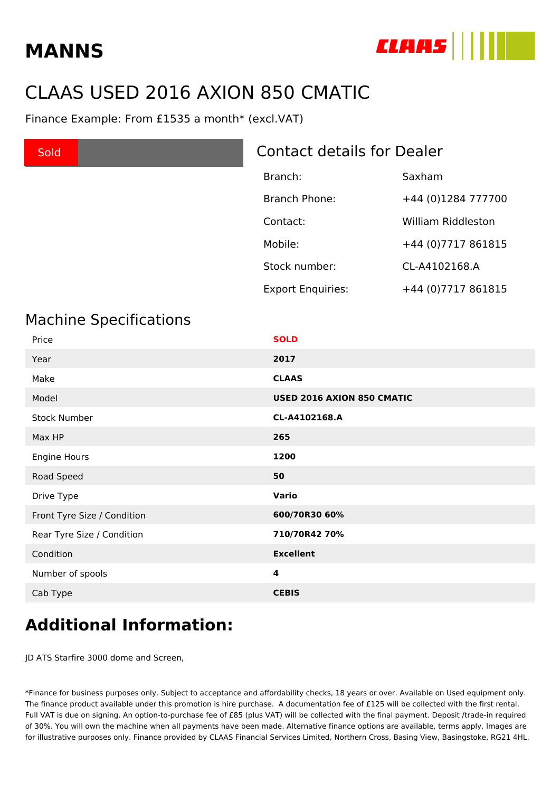# **MANNS**



## CLAAS USED 2016 AXION 850 CMATIC

Finance Example: From £1535 a month\* (excl.VAT)

#### **Sold <b>USe Access** Contact details for Dealer

| Branch:                  | Saxham              |
|--------------------------|---------------------|
| <b>Branch Phone:</b>     | +44 (0)1284 777700  |
| Contact:                 | William Riddleston  |
| Mobile:                  | +44 (0) 7717 861815 |
| Stock number:            | CL-A4102168.A       |
| <b>Export Enquiries:</b> | +44 (0) 7717 861815 |

#### Machine Specifications

| Price                       | <b>SOLD</b>                |
|-----------------------------|----------------------------|
| Year                        | 2017                       |
| Make                        | <b>CLAAS</b>               |
| Model                       | USED 2016 AXION 850 CMATIC |
| <b>Stock Number</b>         | CL-A4102168.A              |
| Max HP                      | 265                        |
| Engine Hours                | 1200                       |
| Road Speed                  | 50                         |
| Drive Type                  | Vario                      |
| Front Tyre Size / Condition | 600/70R30 60%              |
| Rear Tyre Size / Condition  | 710/70R42 70%              |
| Condition                   | <b>Excellent</b>           |
| Number of spools            | 4                          |
| Cab Type                    | <b>CEBIS</b>               |

### **Additional Information:**

JD ATS Starfire 3000 dome and Screen,

\*Finance for business purposes only. Subject to acceptance and affordability checks, 18 years or over. Available on Used equipment only. The finance product available under this promotion is hire purchase. A documentation fee of £125 will be collected with the first rental. Full VAT is due on signing. An option-to-purchase fee of £85 (plus VAT) will be collected with the final payment. Deposit /trade-in required of 30%. You will own the machine when all payments have been made. Alternative finance options are available, terms apply. Images are for illustrative purposes only. Finance provided by CLAAS Financial Services Limited, Northern Cross, Basing View, Basingstoke, RG21 4HL.